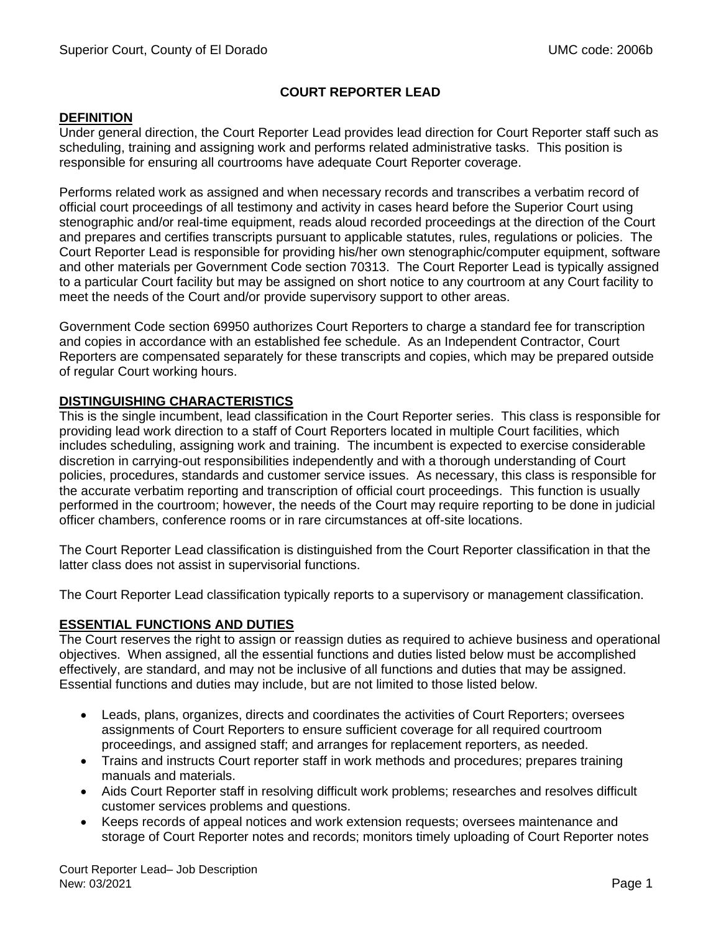# **COURT REPORTER LEAD**

#### **DEFINITION**

Under general direction, the Court Reporter Lead provides lead direction for Court Reporter staff such as scheduling, training and assigning work and performs related administrative tasks. This position is responsible for ensuring all courtrooms have adequate Court Reporter coverage.

Performs related work as assigned and when necessary records and transcribes a verbatim record of official court proceedings of all testimony and activity in cases heard before the Superior Court using stenographic and/or real-time equipment, reads aloud recorded proceedings at the direction of the Court and prepares and certifies transcripts pursuant to applicable statutes, rules, regulations or policies. The Court Reporter Lead is responsible for providing his/her own stenographic/computer equipment, software and other materials per Government Code section 70313. The Court Reporter Lead is typically assigned to a particular Court facility but may be assigned on short notice to any courtroom at any Court facility to meet the needs of the Court and/or provide supervisory support to other areas.

Government Code section 69950 authorizes Court Reporters to charge a standard fee for transcription and copies in accordance with an established fee schedule. As an Independent Contractor, Court Reporters are compensated separately for these transcripts and copies, which may be prepared outside of regular Court working hours.

## **DISTINGUISHING CHARACTERISTICS**

This is the single incumbent, lead classification in the Court Reporter series. This class is responsible for providing lead work direction to a staff of Court Reporters located in multiple Court facilities, which includes scheduling, assigning work and training. The incumbent is expected to exercise considerable discretion in carrying-out responsibilities independently and with a thorough understanding of Court policies, procedures, standards and customer service issues. As necessary, this class is responsible for the accurate verbatim reporting and transcription of official court proceedings. This function is usually performed in the courtroom; however, the needs of the Court may require reporting to be done in judicial officer chambers, conference rooms or in rare circumstances at off-site locations.

The Court Reporter Lead classification is distinguished from the Court Reporter classification in that the latter class does not assist in supervisorial functions.

The Court Reporter Lead classification typically reports to a supervisory or management classification.

## **ESSENTIAL FUNCTIONS AND DUTIES**

The Court reserves the right to assign or reassign duties as required to achieve business and operational objectives. When assigned, all the essential functions and duties listed below must be accomplished effectively, are standard, and may not be inclusive of all functions and duties that may be assigned. Essential functions and duties may include, but are not limited to those listed below.

- Leads, plans, organizes, directs and coordinates the activities of Court Reporters; oversees assignments of Court Reporters to ensure sufficient coverage for all required courtroom proceedings, and assigned staff; and arranges for replacement reporters, as needed.
- Trains and instructs Court reporter staff in work methods and procedures; prepares training manuals and materials.
- Aids Court Reporter staff in resolving difficult work problems; researches and resolves difficult customer services problems and questions.
- Keeps records of appeal notices and work extension requests; oversees maintenance and storage of Court Reporter notes and records; monitors timely uploading of Court Reporter notes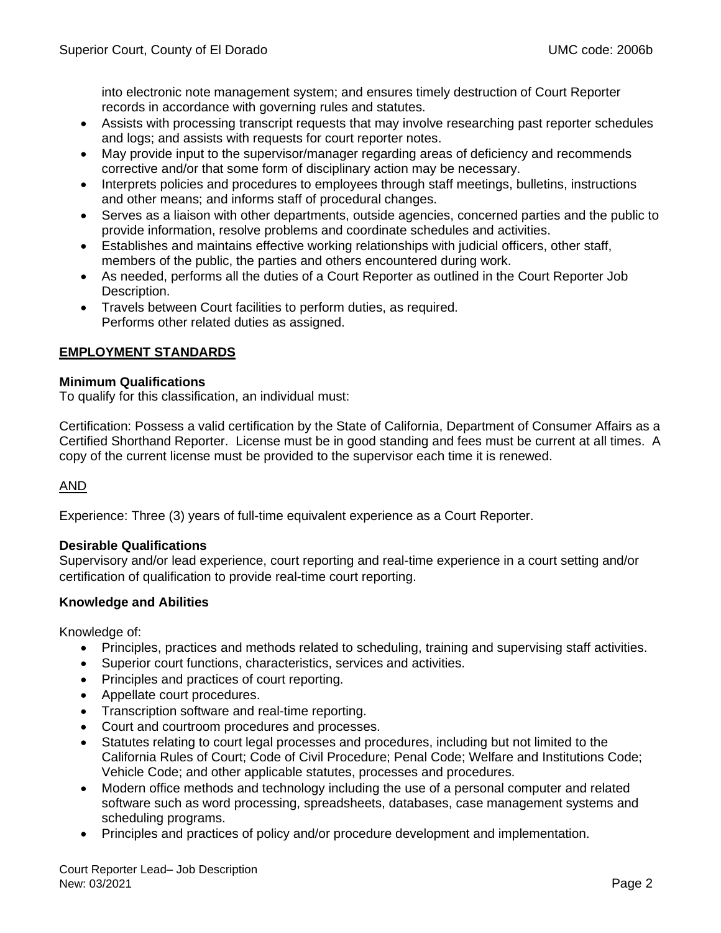into electronic note management system; and ensures timely destruction of Court Reporter records in accordance with governing rules and statutes.

- Assists with processing transcript requests that may involve researching past reporter schedules and logs; and assists with requests for court reporter notes.
- May provide input to the supervisor/manager regarding areas of deficiency and recommends corrective and/or that some form of disciplinary action may be necessary.
- Interprets policies and procedures to employees through staff meetings, bulletins, instructions and other means; and informs staff of procedural changes.
- Serves as a liaison with other departments, outside agencies, concerned parties and the public to provide information, resolve problems and coordinate schedules and activities.
- Establishes and maintains effective working relationships with judicial officers, other staff, members of the public, the parties and others encountered during work.
- As needed, performs all the duties of a Court Reporter as outlined in the Court Reporter Job Description.
- Travels between Court facilities to perform duties, as required. Performs other related duties as assigned.

## **EMPLOYMENT STANDARDS**

#### **Minimum Qualifications**

To qualify for this classification, an individual must:

Certification: Possess a valid certification by the State of California, Department of Consumer Affairs as a Certified Shorthand Reporter. License must be in good standing and fees must be current at all times. A copy of the current license must be provided to the supervisor each time it is renewed.

## AND

Experience: Three (3) years of full-time equivalent experience as a Court Reporter.

## **Desirable Qualifications**

Supervisory and/or lead experience, court reporting and real-time experience in a court setting and/or certification of qualification to provide real-time court reporting.

## **Knowledge and Abilities**

Knowledge of:

- Principles, practices and methods related to scheduling, training and supervising staff activities.
- Superior court functions, characteristics, services and activities.
- Principles and practices of court reporting.
- Appellate court procedures.
- Transcription software and real-time reporting.
- Court and courtroom procedures and processes.
- Statutes relating to court legal processes and procedures, including but not limited to the California Rules of Court; Code of Civil Procedure; Penal Code; Welfare and Institutions Code; Vehicle Code; and other applicable statutes, processes and procedures.
- Modern office methods and technology including the use of a personal computer and related software such as word processing, spreadsheets, databases, case management systems and scheduling programs.
- Principles and practices of policy and/or procedure development and implementation.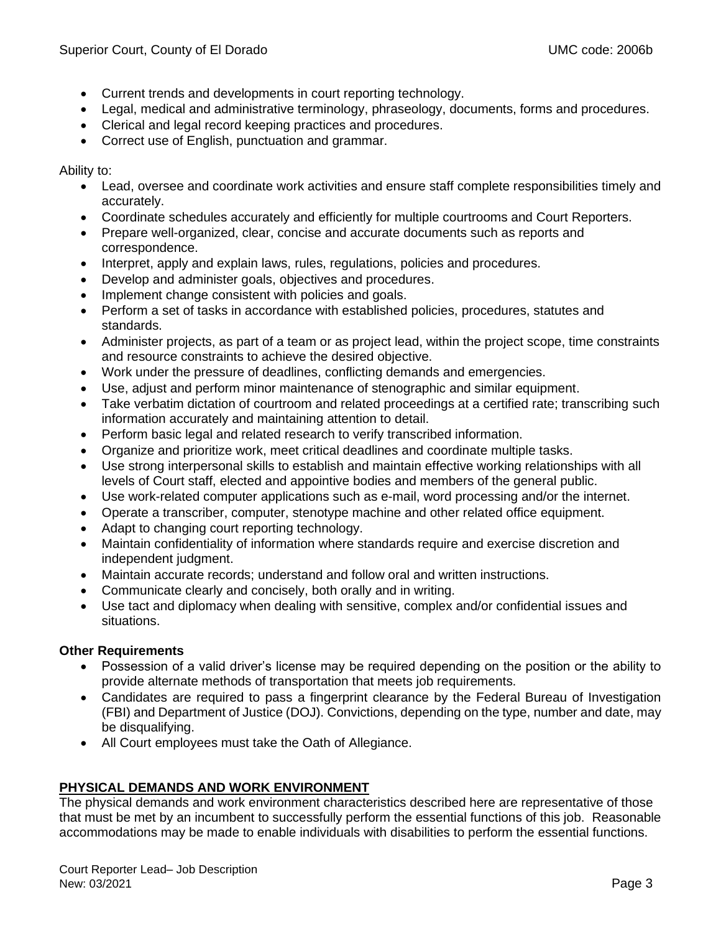- Current trends and developments in court reporting technology.
- Legal, medical and administrative terminology, phraseology, documents, forms and procedures.
- Clerical and legal record keeping practices and procedures.
- Correct use of English, punctuation and grammar.

Ability to:

- Lead, oversee and coordinate work activities and ensure staff complete responsibilities timely and accurately.
- Coordinate schedules accurately and efficiently for multiple courtrooms and Court Reporters.
- Prepare well-organized, clear, concise and accurate documents such as reports and correspondence.
- Interpret, apply and explain laws, rules, regulations, policies and procedures.
- Develop and administer goals, objectives and procedures.
- Implement change consistent with policies and goals.
- Perform a set of tasks in accordance with established policies, procedures, statutes and standards.
- Administer projects, as part of a team or as project lead, within the project scope, time constraints and resource constraints to achieve the desired objective.
- Work under the pressure of deadlines, conflicting demands and emergencies.
- Use, adjust and perform minor maintenance of stenographic and similar equipment.
- Take verbatim dictation of courtroom and related proceedings at a certified rate; transcribing such information accurately and maintaining attention to detail.
- Perform basic legal and related research to verify transcribed information.
- Organize and prioritize work, meet critical deadlines and coordinate multiple tasks.
- Use strong interpersonal skills to establish and maintain effective working relationships with all levels of Court staff, elected and appointive bodies and members of the general public.
- Use work-related computer applications such as e-mail, word processing and/or the internet.
- Operate a transcriber, computer, stenotype machine and other related office equipment.
- Adapt to changing court reporting technology.
- Maintain confidentiality of information where standards require and exercise discretion and independent judgment.
- Maintain accurate records; understand and follow oral and written instructions.
- Communicate clearly and concisely, both orally and in writing.
- Use tact and diplomacy when dealing with sensitive, complex and/or confidential issues and situations.

## **Other Requirements**

- Possession of a valid driver's license may be required depending on the position or the ability to provide alternate methods of transportation that meets job requirements.
- Candidates are required to pass a fingerprint clearance by the Federal Bureau of Investigation (FBI) and Department of Justice (DOJ). Convictions, depending on the type, number and date, may be disqualifying.
- All Court employees must take the Oath of Allegiance.

# **PHYSICAL DEMANDS AND WORK ENVIRONMENT**

The physical demands and work environment characteristics described here are representative of those that must be met by an incumbent to successfully perform the essential functions of this job. Reasonable accommodations may be made to enable individuals with disabilities to perform the essential functions.